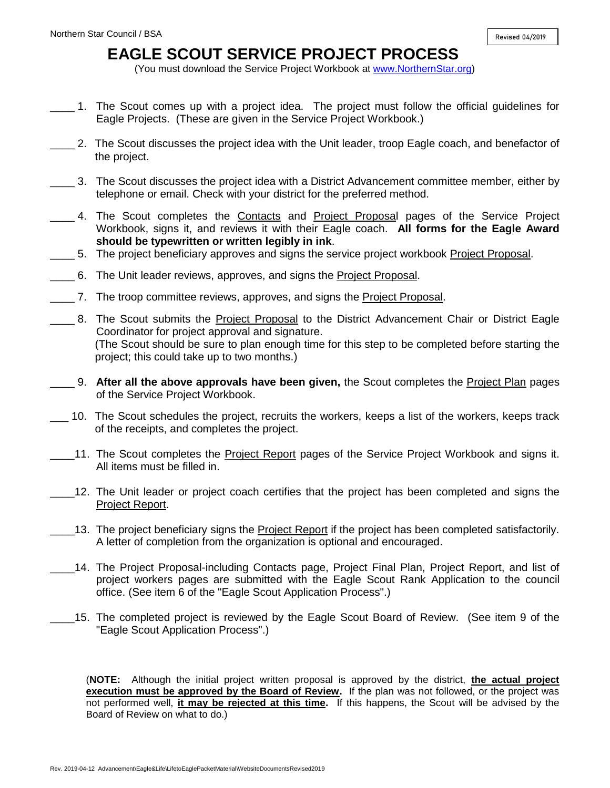## **EAGLE SCOUT SERVICE PROJECT PROCESS**

(You must download the Service Project Workbook at [www.NorthernStar.org\)](http://www.northernstar.org/)

- \_\_\_\_ 1. The Scout comes up with a project idea. The project must follow the official guidelines for Eagle Projects. (These are given in the Service Project Workbook.)
- \_\_\_\_ 2. The Scout discusses the project idea with the Unit leader, troop Eagle coach, and benefactor of the project.
- \_\_\_\_ 3. The Scout discusses the project idea with a District Advancement committee member, either by telephone or email. Check with your district for the preferred method.
- \_\_\_\_ 4. The Scout completes the Contacts and Project Proposal pages of the Service Project Workbook, signs it, and reviews it with their Eagle coach. **All forms for the Eagle Award should be typewritten or written legibly in ink**.
- \_\_\_\_ 5. The project beneficiary approves and signs the service project workbook Project Proposal.
- \_\_\_\_ 6. The Unit leader reviews, approves, and signs the Project Proposal.
- \_\_\_\_ 7. The troop committee reviews, approves, and signs the Project Proposal.
- \_\_\_\_ 8. The Scout submits the Project Proposal to the District Advancement Chair or District Eagle Coordinator for project approval and signature. (The Scout should be sure to plan enough time for this step to be completed before starting the project; this could take up to two months.)
- \_\_\_\_ 9. **After all the above approvals have been given,** the Scout completes the Project Plan pages of the Service Project Workbook.
- \_\_\_ 10. The Scout schedules the project, recruits the workers, keeps a list of the workers, keeps track of the receipts, and completes the project.
- 11. The Scout completes the Project Report pages of the Service Project Workbook and signs it. All items must be filled in.
- \_\_\_\_12. The Unit leader or project coach certifies that the project has been completed and signs the Project Report.
- \_\_\_\_13. The project beneficiary signs the Project Report if the project has been completed satisfactorily. A letter of completion from the organization is optional and encouraged.
- \_\_\_\_14. The Project Proposal-including Contacts page, Project Final Plan, Project Report, and list of project workers pages are submitted with the Eagle Scout Rank Application to the council office. (See item 6 of the "Eagle Scout Application Process".)
- \_\_\_\_15. The completed project is reviewed by the Eagle Scout Board of Review. (See item 9 of the "Eagle Scout Application Process".)

(**NOTE:** Although the initial project written proposal is approved by the district, **the actual project execution must be approved by the Board of Review.** If the plan was not followed, or the project was not performed well, **it may be rejected at this time.** If this happens, the Scout will be advised by the Board of Review on what to do.)